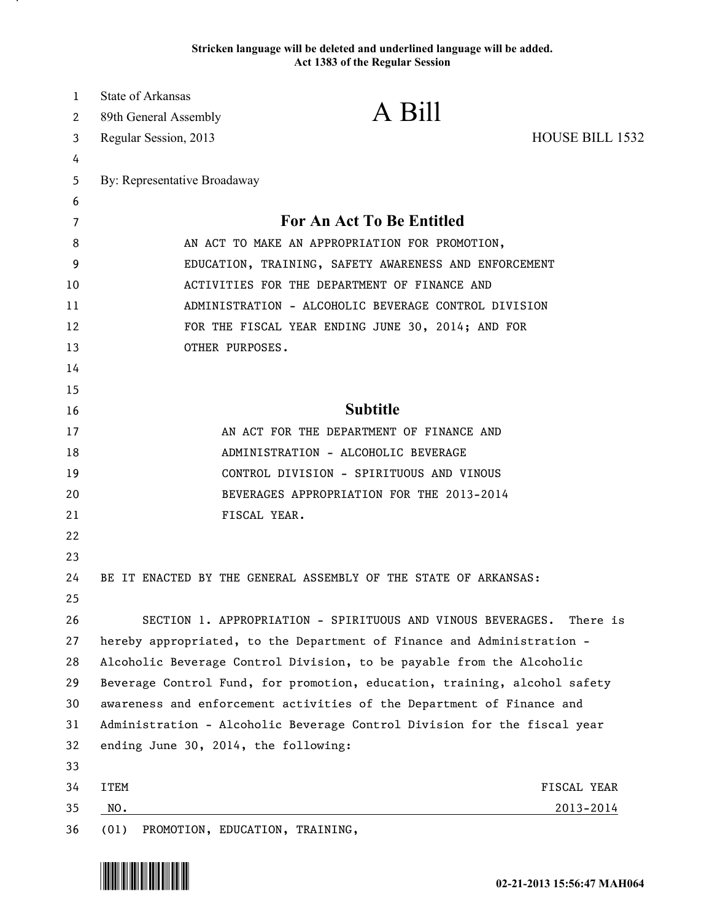## **Stricken language will be deleted and underlined language will be added. Act 1383 of the Regular Session**

| 1<br>2 | State of Arkansas                                                         | A Bill                                    |                        |
|--------|---------------------------------------------------------------------------|-------------------------------------------|------------------------|
| 3      | 89th General Assembly<br>Regular Session, 2013                            |                                           | <b>HOUSE BILL 1532</b> |
| 4      |                                                                           |                                           |                        |
| 5      | By: Representative Broadaway                                              |                                           |                        |
| 6      |                                                                           |                                           |                        |
| 7      | <b>For An Act To Be Entitled</b>                                          |                                           |                        |
| 8      | AN ACT TO MAKE AN APPROPRIATION FOR PROMOTION,                            |                                           |                        |
| 9      | EDUCATION, TRAINING, SAFETY AWARENESS AND ENFORCEMENT                     |                                           |                        |
| 10     | ACTIVITIES FOR THE DEPARTMENT OF FINANCE AND                              |                                           |                        |
| 11     | ADMINISTRATION - ALCOHOLIC BEVERAGE CONTROL DIVISION                      |                                           |                        |
| 12     | FOR THE FISCAL YEAR ENDING JUNE 30, 2014; AND FOR                         |                                           |                        |
| 13     | OTHER PURPOSES.                                                           |                                           |                        |
| 14     |                                                                           |                                           |                        |
| 15     |                                                                           |                                           |                        |
| 16     | <b>Subtitle</b>                                                           |                                           |                        |
| 17     | AN ACT FOR THE DEPARTMENT OF FINANCE AND                                  |                                           |                        |
| 18     | ADMINISTRATION - ALCOHOLIC BEVERAGE                                       |                                           |                        |
| 19     |                                                                           | CONTROL DIVISION - SPIRITUOUS AND VINOUS  |                        |
| 20     |                                                                           | BEVERAGES APPROPRIATION FOR THE 2013-2014 |                        |
| 21     |                                                                           | FISCAL YEAR.                              |                        |
| 22     |                                                                           |                                           |                        |
| 23     |                                                                           |                                           |                        |
| 24     | BE IT ENACTED BY THE GENERAL ASSEMBLY OF THE STATE OF ARKANSAS:           |                                           |                        |
| 25     |                                                                           |                                           |                        |
| 26     | SECTION 1. APPROPRIATION - SPIRITUOUS AND VINOUS BEVERAGES. There is      |                                           |                        |
| 27     | hereby appropriated, to the Department of Finance and Administration -    |                                           |                        |
| 28     | Alcoholic Beverage Control Division, to be payable from the Alcoholic     |                                           |                        |
| 29     | Beverage Control Fund, for promotion, education, training, alcohol safety |                                           |                        |
| 30     | awareness and enforcement activities of the Department of Finance and     |                                           |                        |
| 31     | Administration - Alcoholic Beverage Control Division for the fiscal year  |                                           |                        |
| 32     | ending June 30, 2014, the following:                                      |                                           |                        |
| 33     |                                                                           |                                           |                        |
| 34     | ITEM                                                                      |                                           | FISCAL YEAR            |
| 35     | NO.                                                                       |                                           | $2013 - 2014$          |
| 36     | (01)                                                                      | PROMOTION, EDUCATION, TRAINING,           |                        |